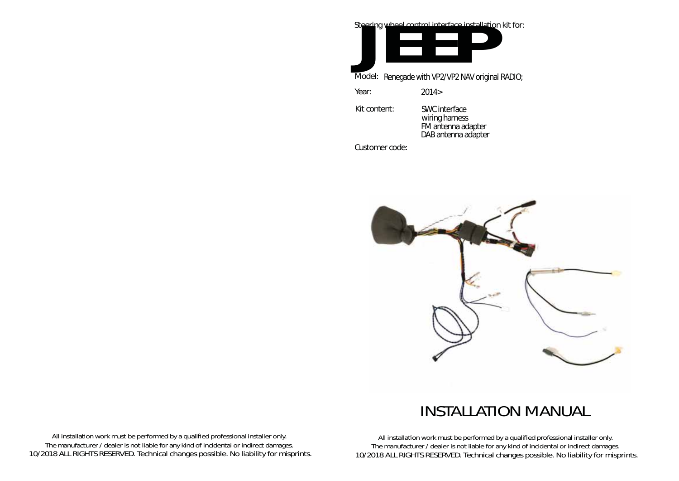Steering wheel control interface installation kit for:

**JEEP** 

Model: Renegade with VP2/VP2 NAV original RADIO;

Year: 2014>

Kit content:

SWC interface wiring harness FM antenna adapter DAB antenna adapter

Customer code:



## INSTALLATION MANUAL

All installation work must be performed by a qualified professional installer only. The manufacturer / dealer is not liable for any kind of incidental or indirect damages. 10/2018 ALL RIGHTS RESERVED. Technical changes possible. No liability for misprints.

All installation work must be performed by a qualified professional installer only. The manufacturer / dealer is not liable for any kind of incidental or indirect damages. 10/2018 ALL RIGHTS RESERVED. Technical changes possible. No liability for misprints.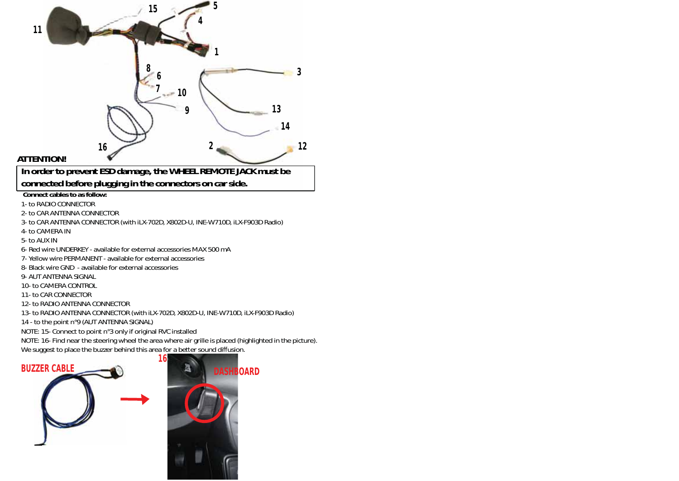



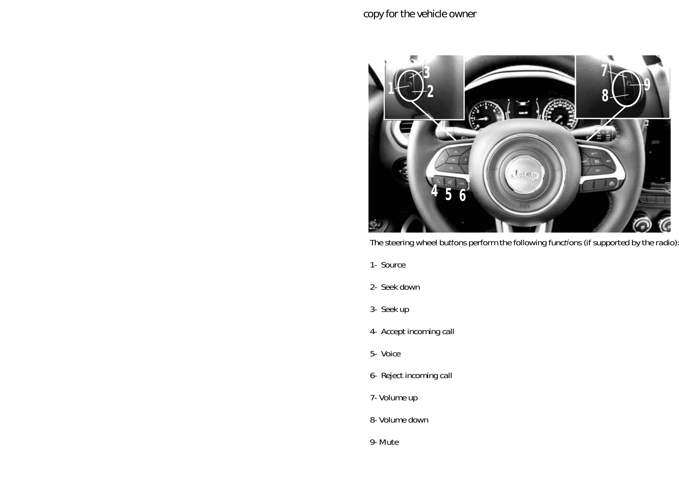

The steering wheel buttons perform the following functions (if supported by the radio).

- *1- Source*
- *2- Seek down*
- *3- Seek up*
- *4- Accept incoming call*
- *5- Voice*
- *6- Reject incoming call*
- *7- Volume up*
- *8- Volume down*
- *9- Mute*